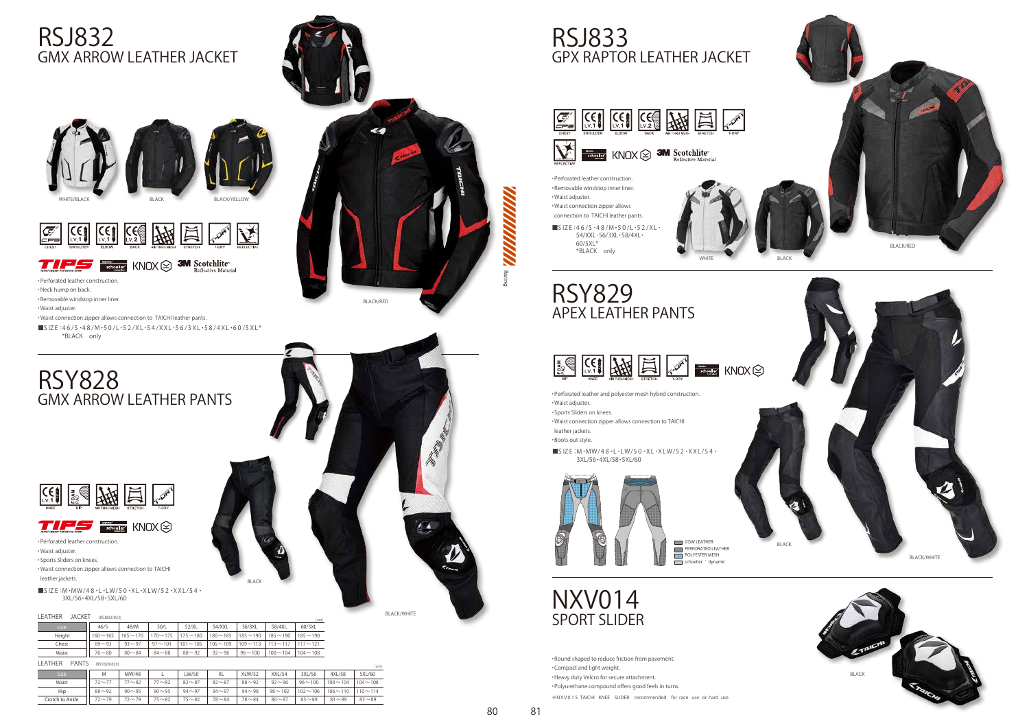## RSJ832 GMX ARROW LEATHER JACKET

### RSY828 GMX ARROW LEATHER PANTS



**Keproke<sup>o</sup>** KNOX 777





**THE SECRET KNOX SO 3M Scotchlite** 

BLACK

#### LEATHER JACKET (RSJ832/833)

| _________<br>$\sim$ | ,,,,,,,,,,,,,  |             |               |             |               |               |                | (cm)           |  |
|---------------------|----------------|-------------|---------------|-------------|---------------|---------------|----------------|----------------|--|
| size                | 46/S           | 48/M        | 50/L          | 52/XL       | 54/XXL        | 56/3XL        | 58/4XL         | 60/5XL         |  |
| Height              | $160 \sim 165$ | $165 - 170$ | $70 \sim 175$ | $175 - 180$ | $180 - 185$   | $185 - 190$   | $185 - 190$    | $185 \sim 190$ |  |
| Chest               | $89 - 93$      | $93 - 97$   | $97 - 101$    | $101 - 105$ | $105 - 109$   | $109 - 113$   | $113 \sim 117$ | $117 - 121$    |  |
| Waist               | $76 - 80$      | $80 - 84$   | $84 - 88$     | $88 - 92$   | $92^{\sim}96$ | $96 \sim 100$ | $100 \sim 104$ | $104 - 108$    |  |

LEATHER PANTS (RSY828/829)

|                 |                           |           |           |           |              |               |               |             |                | .           |
|-----------------|---------------------------|-----------|-----------|-----------|--------------|---------------|---------------|-------------|----------------|-------------|
| size            | M                         | MW/48     | ∼         | LW/50     | $\vee$<br>ΛL | <b>XLW/52</b> | XXL/54        | 3XL/56      | 4XL/58         | 5XL/60      |
| Waist           | $\rightarrow$<br>$72\sim$ | $77 - 82$ | $77 - 82$ | $82 - 87$ | $82 \sim 87$ | $88 - 92$     | $92^{\sim}96$ | $96 - 100$  | $100 - 104$    | $104 - 108$ |
| Hip             | $88 - 92$                 | $90 - 95$ | $90 - 95$ | $94 - 97$ | $94 - 97$    | $94 - 98$     | $98 - 102$    | $102 - 106$ | $106 \sim 110$ | $110 - 114$ |
| Crotch to Ankle | $72 - 79$                 | $72 - 79$ | $75 - 82$ | $75 - 82$ | $78 - 84$    | $78 - 84$     | $80 - 87$     | $83 - 89$   | $83 - 89$      | $83 - 89$   |

 $\blacksquare$ SIZE:M $\cdot$ MW/48 $\cdot$ L $\cdot$ LW/50 $\cdot$ XL $\cdot$ XLW/52 $\cdot$ XXL/54 $\cdot$ 3XL/56・4XL/58・5XL/60



・Perforated leather construction.

# NXV014 SPORT SLIDER

・Neck hump on back.

・Removable windstop inner liner.

・Waist adjuster.

・Waist connection zipper allows connection to TAICHI leather pants.

■S IZ E:4 6 /S ・4 8 /M・5 0 /L・5 2 /XL・5 4 /XXL・5 6 /3 XL・5 8 /4 XL・6 0 /5 XL\* \*BLACK only

・Perforated leather construction.

 $\blacksquare$ SIZE:M·MW/48·L·LW/50·XL·XLW/52·XXL/54· 3XL/56・4XL/58・5XL/60



POLYESTER MESH COW LEATHER **PERFORATED LEATHER**  $\overline{\phantom{a}}$  schoeller  $\dot{a}$  dynamic

・Waist adjuster.

・Sports Sliders on knees. ・Waist connection zipper allows connection to TAICHI leather jackets.

■S IZ E:46/S ·48/M · 50/L · 52/XL 54/XXL・56/3XL・58/4XL・  $60/5XI*$ \*BLACK only

BLACK/WHITE

80

#### RSJ833 GPX RAPTOR LEATHER JACKET







## RSY829 APEX LEATHER PANTS



COW LEATHER



・Round shaped to reduce friction from pavement. ・ Compact and light weight. ・Heavy duty Velcro for secure attachment. ・Polyurethane compound offers good feels in turns. ※NXV 0 1 5 TAICHI KNEE SLIDER recommended for race use or hard use.



・Perforated leather and polyester mesh hybrid construction.

・Waist adjuster.

・Sports Sliders on knees.

・Waist connection zipper allows connection to TAICHI leather jackets.

・Boots out style.

・Perforated leather construction. ・Removable windstop inner liner. ・Waist adjuster. ・Waist connection zipper allows connection to TAICHI leather pants.

81